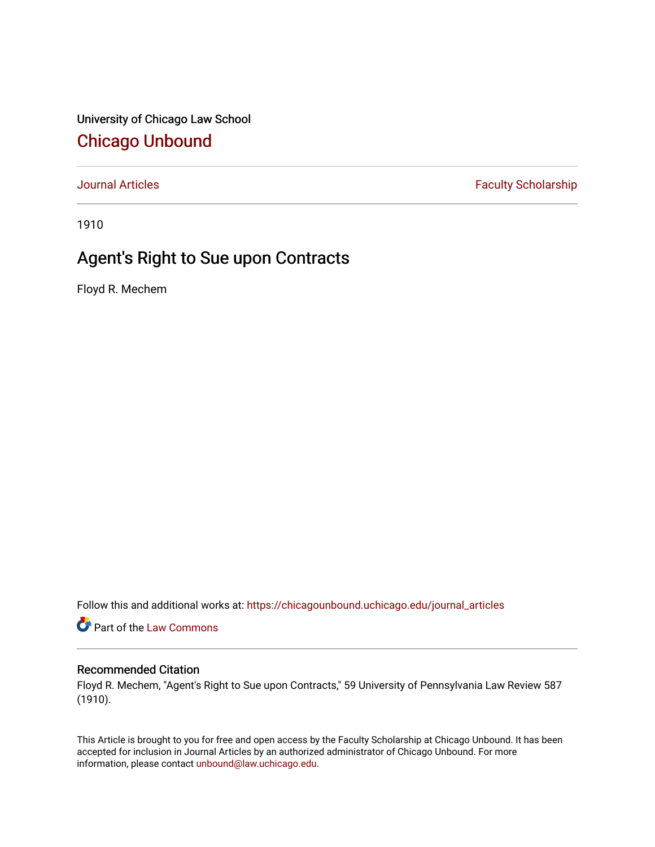University of Chicago Law School [Chicago Unbound](https://chicagounbound.uchicago.edu/)

[Journal Articles](https://chicagounbound.uchicago.edu/journal_articles) **Faculty Scholarship Faculty Scholarship** 

1910

## Agent's Right to Sue upon Contracts

Floyd R. Mechem

Follow this and additional works at: [https://chicagounbound.uchicago.edu/journal\\_articles](https://chicagounbound.uchicago.edu/journal_articles?utm_source=chicagounbound.uchicago.edu%2Fjournal_articles%2F8884&utm_medium=PDF&utm_campaign=PDFCoverPages) 

Part of the [Law Commons](http://network.bepress.com/hgg/discipline/578?utm_source=chicagounbound.uchicago.edu%2Fjournal_articles%2F8884&utm_medium=PDF&utm_campaign=PDFCoverPages)

### Recommended Citation

Floyd R. Mechem, "Agent's Right to Sue upon Contracts," 59 University of Pennsylvania Law Review 587 (1910).

This Article is brought to you for free and open access by the Faculty Scholarship at Chicago Unbound. It has been accepted for inclusion in Journal Articles by an authorized administrator of Chicago Unbound. For more information, please contact [unbound@law.uchicago.edu](mailto:unbound@law.uchicago.edu).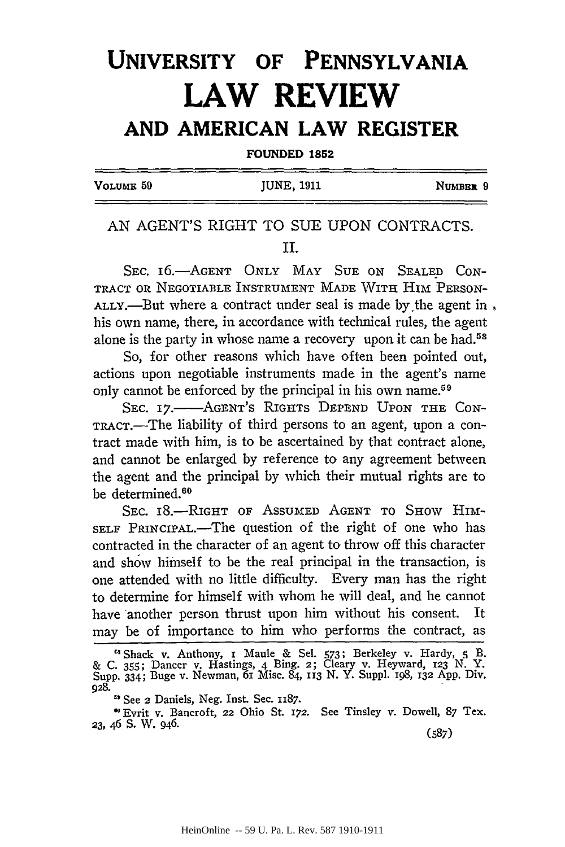# **UNIVERSITY OF PENNSYLVANIA LAW REVIEW AND AMERICAN LAW REGISTER**

**FOUNDED 1852**

| VOLUME <sub>59</sub> | JUNE, 1911 | NUMBER 9 |
|----------------------|------------|----------|
|                      |            |          |

## AN AGENT'S RIGHT TO SUE UPON CONTRACTS. II.

SEC. 16.-AGENT ONLY MAY SUE ON SEALED CON-TRACT OR NEGOTIABLE INSTRUMENT MADE WITH HIM PERSON-ALLY.—But where a contract under seal is made by the agent in, his own name, there, in accordance with technical rules, the agent alone is the party in whose name a recovery upon it can be had.<sup>58</sup>

So, for other reasons which have often been pointed out, actions upon negotiable instruments made in the agent's name only cannot be enforced by the principal in his own name.<sup>59</sup>

SEC. 17.- AGENT's RIGHTS **DEPEND** UPON **THE** CON-TRACT.—The liability of third persons to an agent, upon a contract made with him, is to be ascertained by that contract alone, and cannot be enlarged by reference to any agreement between the agent and the principal by which their mutual rights are to be determined.<sup>60</sup>

SEC. 18.-RIGHT OF ASSUMED AGENT TO SHOW HIM-SELF PRINCIPAL.—The question of the right of one who has contracted in the character of an agent to throw off this character and show himself to be the real principal in the transaction, is one attended with no little difficulty. Every man has the right to determine for himself with whom he will deal, and he cannot have another person thrust upon him without his consent. It may be of importance to him who performs the contract, as

<sup>&</sup>quot;Shack v. Anthony, i Maule & Sel. 573; Berkeley v. Hardy, **q** B. & C. 355; Dancer v. Hastings, 4 Bing. 2; Cleary v. Heyward, **123** N. Y. Supp. 334; Buge v. Newman, 6i Misc. 84, **113** N. Y. SuppI. i98, **132** App. Div. **928.**

**<sup>&</sup>quot;** See 2 Daniels, Neg. Inst. Sec. **1187.**

<sup>&#</sup>x27; Evrit v. Bancroft, **22** Ohio St. 172. See Tinsley v. Dowell, 87 Tex. **23,** 46 **S.** W. 946. (587)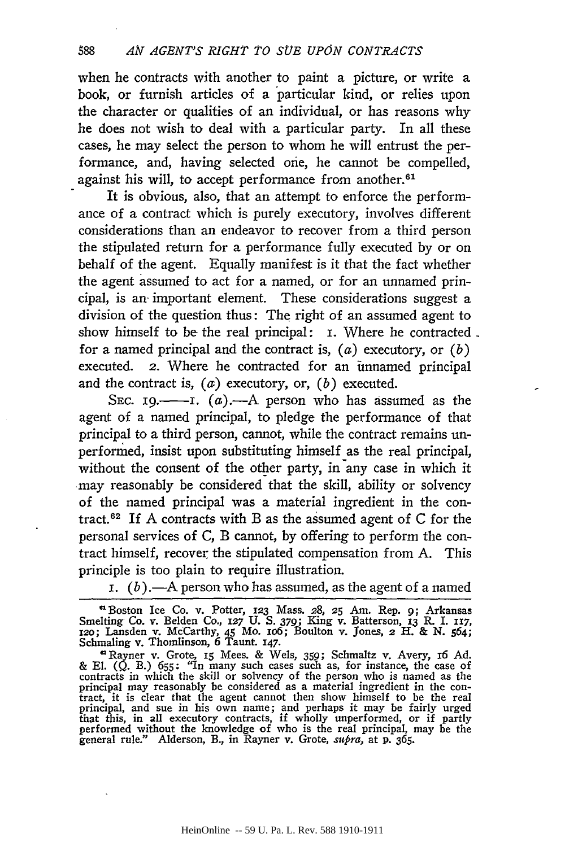when he contracts with another to paint a picture, or write a book, or furnish articles of a particular kind, or relies upon the character or qualities of an individual, or has reasons why he does not wish to deal with a particular party. In all these cases, he may select the person to whom he will entrust the performance, and, having selected one, he cannot be compelled, against his will, to accept performance from another.<sup>61</sup>

It is obvious, also, that an attempt to enforce the performance of a contract which is purely executory, involves different considerations than an endeavor to recover from a third person the stipulated return for a performance fully executed **by** or on behalf of the agent. Equally manifest is it that the fact whether the agent assumed to act for a named, or for an unnamed principal, is an. important element. These considerations suggest a division of the question thus: The right of an assumed agent to show himself to **be** the real principal: **i.** Where he contracted for a named principal and the contract is, (a) executory, or *(b)* executed. 2. Where he contracted for an unnamed principal and the contract is, (a) executory, or, *(b)* executed.

**SEC. I9.-I.** (a).-A person who has assumed as the agent of a named principal, to pledge the performance of that principal to a third person, cannot, while the contract remains unperformed, insist upon substituting himself as the real principal, without the consent of the other party, in any case in which it may reasonably be considered that the skill, ability or solvency of the named principal was a material ingredient in the contract.62 If **A** contracts with B as the assumed agent of **C** for the personal services of **C,** B cannot, **by** offering to perform the contract himself, recover the stipulated compensation from **A.** This principle is too plain to require illustration.

**i.**  $(b)$ .—A person who has assumed, as the agent of a named

<sup>U</sup>Boston Ice Co. v. Potter, **123** Mass. **28, 25 Am.** Rep. **9;** Arkansas Smelting Co. v. Belden **Co., 127 U. S.** *379;* King v. Batterson, **13** R. I. **x7, x2o;** Lansden v. McCarthy, 45 Mo. io6; Boulton v. Jones, **2** H. **& N.** 564; Schmaling v. Thomlinson, **6** Taunt. **147.**

' Rayner v. Grote, **15** Mees. **&** Wels, **359;** Schmaltz v. Avery, r6 **Ad. & El. (Q.** B.) **655;** "In many such cases such as, for instance, the case of contracts in which the skill or solvency of the person who is named as the principal may reasonably be considered as a material ingredient in the con-<br>tract, it is clear that the agent cannot then show himself to be the real<br>principal, and sue in his own name; and perhaps it may be fairly urged that this, in all executory contracts, if wholly unperformed, or if partly performed without the knowledge of who is the real principal, may be the general rule." Alderson, B., in Rayner v. Grote, *supra,* at **p.** *365.*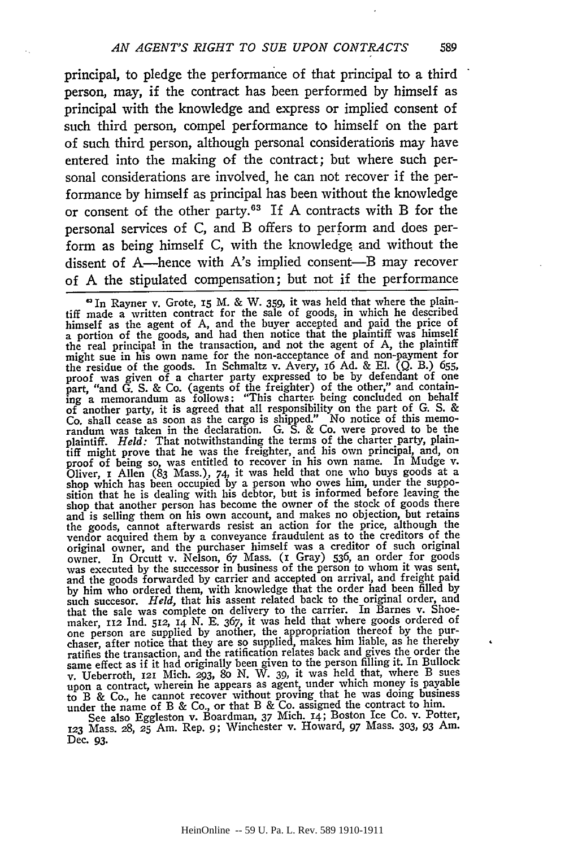principal, to pledge the performance of that principal to a third person, may, if the contract has been performed by himself as principal with the knowledge and express or implied consent of such third person, compel performance to himself on the part of such third person, although personal considerations may have entered into the making of the contract; but where such personal considerations are involved, he can not recover if the performance by himself as principal has been without the knowledge or consent of the other party. $63$  If A contracts with B for the personal services of C, and B offers to perform and does perform as being himself C, with the knowledge and without the dissent of A—hence with A's implied consent—B may recover of A the stipulated compensation; but not if the performance of A the stipulated compensation; but not if the performance

**.In** Rayner v. Grote, 15 M. & W. 359, it was held that where the plaintiff made a written contract for the sale of goods, in which he described himself as the agent of A, and the buyer accepted and paid the price of a portion of the goods, and had then notice that the plaintiff was himself the real principal in the transaction, and not the agent of A, the plaintiff might sue in his own name for the non-acceptance of and non-payment for the residue of the goods. In Schmaltz v. Avery, 16 Ad. & El. (Q. B.) 655, proof was given of a charter party expressed to be by defendant of one part, "and G. S. & Co. (agents of the freighter) of the other," and containing a memorandum as follows: "This charter being concluded on behalf of another party, it is agreed that all responsibility on the part of G. S. & plaintiff. *Held:* That notwithstanding the terms of the charter party, plaintiff might prove that he was the freighter, and his own principal, and, on proof of being so, was entitled to recover in his own name. In Mudge v. Oliver, I Allen (83 Mass.), 74, it was held that one who buys goods at a shop which has been occupied by a person who owes him, under the supposition that he is dealing with his debtor, but is informed before leaving the s and is selling them on his own account, and makes no objection, but retains the goods, cannot afterwards resist an action for the price, although the wendor acquired them by a conveyance fraudulent as to the creditors of the original owner, and the purchaser himself was a creditor of such original owner. In Orcutt v. Nelson, 67 Mass. (1 Gray) 536, an order for goods was by him who ordered them, with knowledge that the order had been filled by<br>such succesor. *Held*, that his assent related back to the original order, and<br>that the sale was complete on delivery to the carrier. In Barnes v. S one person are supplied by another, the appropriation thereof by the purof person in order that they are so supplied, makes him liable, as he thereby<br>ratifies the transaction, and the ratification relates back and gives the order the<br>same effect as if it had originally been given to the person v. Ueberroth, **121** Mich. **293,** 8o N. W. 39, it was held that, where B sues upon a contract, wherein he appears as agent, under which money is payable to B & Co., he cannot recover without proving that he was doing business

under the name of B & Co., or that B & Co. assigned the contract to him. See also Eggleston v. Boardman, 37 Mich. 14; Boston Ice Co. v. Potter, **<sup>123</sup>**Mass. 28, **25** Am. Rep. *9;* Winchester v. Howard, 97 Mass. **303,** 93 Am. Dec. 93.

589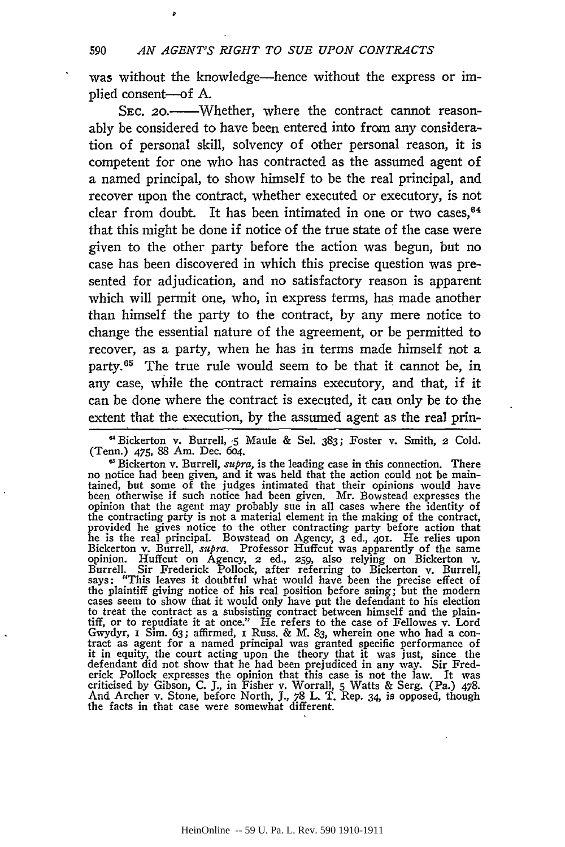was without the knowledge—hence without the express or implied consent-of **A.**

SEC. 20.<sup>----</sup>Whether, where the contract cannot reasonably be considered to have been entered into from any consideration of personal skill, solvency of other personal reason, it is competent for one who has contracted as the assumed agent of a named principal, to show himself to be the real principal, and recover upon the contract, whether executed or executory, is not clear from doubt. It has been intimated in one or two cases,  $64$ that this might be done if notice of the true state of the case were given to the other party before the action was begun, but no case has been discovered in which this precise question was presented for adjudication, and no satisfactory reason is apparent which will permit one, who, in express terms, has made another than himself the party to the contract, by any mere notice to change the essential nature of the agreement, or be permitted to recover, as a party, when he has in terms made himself not a party.<sup>65</sup> The true rule would seem to be that it cannot be, in any case, while the contract remains executory, and that, if it can be done where the contract is executed, it can only be to the extent that the execution, by the assumed agent as the real prin-

**'** Bickerton v. Burrell, **5** Maule & Sel. 383; Foster v. Smith, **2** Cold. (Tenn.) 475, 88 Am. Dec. 604.

Bickerton v. Burrell, *supra,* is the leading case in this connection. There no notice had been given, and it was held that the action could not be maintained, but some of the judges intimated that their opinions would have been otherwise if such notice had been given. Mr. Bowstead expresses the opinion that the agent may probably sue in all cases where the identity of the contracting party is not a material element in the making of the contract, provided he gives notice to the other contracting party before action that he is the real principal. Bowstead on Agency, 3 ed., 401. He relies Bickerton v. Burrell, *supra.* Professor Huffcut was apparently of the same opinion. Huffcut on Agency, 2 ed., **259,** also relying on Bickerton v, Burrell. Sir Frederick Pollock, after referring to Bickerton v. Burrell, says: "This leaves it doubtful what would have been the precise effect of<br>the plaintiff giving notice of his real position before suing; but the modern<br>cases seem to show that it would only have put the defendant to his el to treat the contract as a subsisting contract between himself and the plaintiff, or to repudiate it at once." He refers to the case of Fellowes v. Lord Gwydyr, i Sim. 63; affirmed, i Russ. & M. 83, wherein one who had a con- tract as agent for a named principal was granted specific performance of it in equity, the court acting upon the theory that it was just, since the<br>defendant did not show that he had been prejudiced in any way. Sir Fred-<br>erick Pollock expresses the opinion that this case is not the law. It was<br> And Archer v. Stone, before North, **J.,** 78 L. T. Rep. 34, is opposed, though the facts in that case were somewhat different.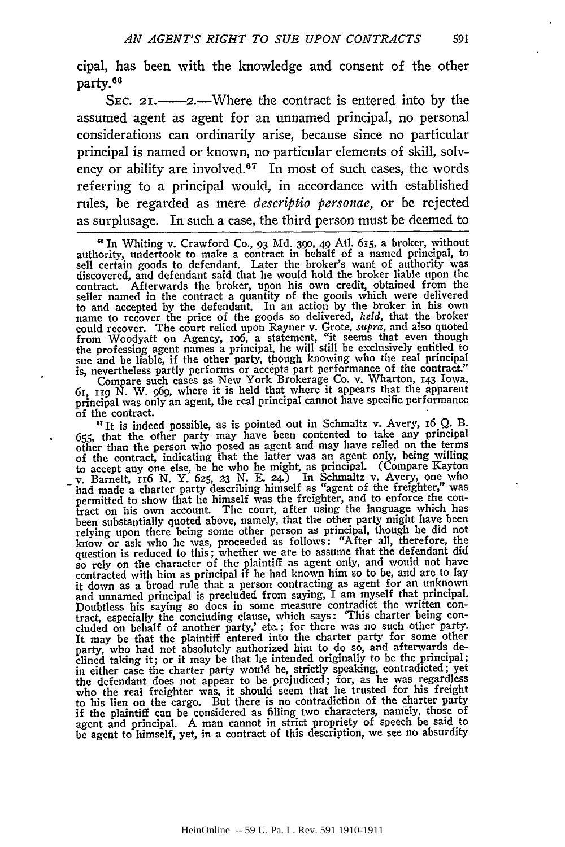cipal, has been with the knowledge and consent of the other party.<sup>66</sup>

SEC. 21.—2.—Where the contract is entered into by the assumed agent as agent for an unnamed principal, no personal considerations can ordinarily arise, because since no particular principal is named or known, no particular elements of skill, solvency or ability are involved.<sup>67</sup> In most of such cases, the words referring to a principal would, in accordance with established rules, be regarded as mere *descriptio personae,* or be rejected as surplusage. In such a case, the third person must be deemed to

principal was only an agent, the real principal cannot have specific performance

of the contract.<br>"It is indeed possible, as is pointed out in Schmaltz v. Avery, 16 Q. B. "It is indeed possible, as is pointed out in Schmaltz v. Avery, 16 Q. B.<br>655, that the other party may have been contented to take any principal<br>other than the person who posed as agent and may have relied on the terms of the contract, indicating that the latter was an agent only, being willing to accept any one else, be he who he might, as principal. (Compare Kayton v. Barnett, 116 **N.** Y. **625,** *:23* **N. E.** 24.) In Schmaltz v. Avery, one who when made a charter party describing himself as "agent of the freighter," was<br>permitted to show that he himself was the freighter, and to enforce the con-<br>tract on his own account. The court, after using the language which been substantially quoted above, namely, that the other party might have been<br>relying upon there being some other person as principal, though he did not<br>know or ask who he was, proceeded as follows: "After all, therefore, question is reduced to this; whether we are to assume that the defendant did so rely on the character of the plaintiff as agent only, and would not have contracted with him as principal if he had known him so to be, and are to lay it down as a broad rule that a person contracting as agent for an unknown and unnamed principal is precluded from saying, I am myself that principal. Doubtless his saying so does in some measure contradict the written contract, especially the concluding clause, which says: 'This charter being con-cluded on behalf of another party,' etc.; for there was no such other party. Fit may be that the plaintiff entered into the charter party for some other<br>party, who had not absolutely authorized him to do so, and afterwards de-<br>clined taking it; or it may be that he intended originally to be the pri the defendant does not appear to be prejudiced; for, as he was regardless who the real freighter was, it should seem that he trusted for his freight to his lien on the cargo. But there is no contradiction of the charter party if the plaintiff can be considered as filling two characters, namely, those of agent and principal. A man cannot in strict propriety of speech be said to be agent to himself, yet, in a contract of this description, we see no absurdity

*<sup>&#</sup>x27;In* Whiting v. Crawford Co., 93 Md. **390,** 49 Atl. 615, a broker, without authority, undertook to make a contract in behalf of a named principal, to sell certain goods to defendant. Later the broker's want of authority was discovered, and defendant said that he would hold the broker liable upon the contract. Afterwards the broker, upon his own credit, obtained from the seller named in the contract a quantity of the goods which were delivered to and accepted **by** the defendant. In an action **by** the broker in his own name to recover the price of the goods so delivered, *held,* that the broker could recover. The court relied upon Rayner v. Grote, *supra,* and also quoted from Woodyatt on Agency, 106, a statement, "it seems that even though<br>the professing agent names a principal, he will still be exclusively entitled to<br>sue and be liable, if the other party, though knowing who the real prin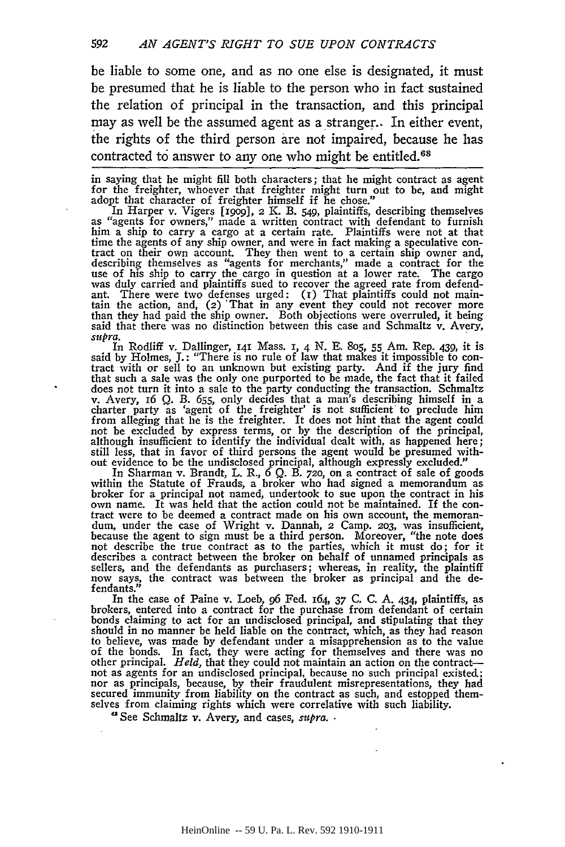be liable to some one, and as no one else is designated, it must be presumed that he is liable to the person who in fact sustained the relation of principal in the transaction, and this principal may as well be the assumed agent as a stranger.. In either event, the rights of the third person are not impaired, because he has contracted to answer to any one who might be entitled.<sup>68</sup>

in saying that he might fill both characters; that he might contract as agent for the freighter, whoever that freighter might turn out to be, and might adopt that character of freighter himself if he chose."

In Harper v. Vigers [1909], 2 K. B. 549, plaintiffs, describing themselves as "agents for owners," made a written contract with defendant to furnish<br>him a ship to carry a cargo at a certain rate. Plaintiffs were not at tha time the agents of any ship owner, and were in fact making a speculative con- tract on their own account. They then went to a certain ship owner and, describing themselves as "agents for merchants," made a contract for the use of his ship to carry the cargo in question at a lower rate. The cargo was duly carried and plaintiffs sued to recover the agreed rate from defendant. There were two defenses urged:  $(1)$  That plaintiffs could not main-<br>tain the action, and,  $(2)$  That in any event they could not recover more<br>than they had paid the ship owner. Both objections were overruled, it bei

*supra.* In Rodliff v. Dallinger, **I41** Mass. **I,** 4 N. **E.** 8o5, 55 Am. Rep. 439, it is said by Holmes, **J.**: "There is no rule of law that makes it impossible to con-<br>tract with or sell to an unknown but existing party. And if the jury find that such a sale was the only one purported to be made, the fact that it failed does not turn it into a sale to the party conducting the transaction. Schmaltz<br>v. Avery, 16 Q. B. 655, only decides that a man's describing himself in a<br>charter party as 'agent of the freighter' is not sufficient to preclu from alleging that he is the freighter. It does not hint that the agent could not be excluded by express terms, or by the description of the principal although insufficient to identify the individual dealt with, as happened here; still less, that in favor of third persons the agent would be presumed with-out evidence to be the undisclosed principal, although expressly excluded."

In Sharman v. Brandt, L. R.,  $\hat{6}$  Q. B. 720, on a contract of sale of goods<br>within the Statute of Frauds, a broker who had signed a memorandum as<br>broker for a principal not named, undertook to sue upon the contract in because the agent to sign must be a third person. Moreover, "the note does not describe the true contract as to the parties, which it must do; for it sellers, and the defendants as purchasers; whereas, in reality, the plaintiff now says, the contract was between the broker as principal and the defendants.

In the case of Paine v. Loeb, 96 Fed. 164, 37 C. C. A. 434, plaintiffs, as brokers, entered into a contract for the purchase from defendant of certain bonds claiming to act for an undisclosed principal, and stipulating that they<br>should in no manner be held liable on the contract, which, as they had reason<br>to believe, was made by defendant under a misapprehension as to th to believe, was made by defendant under a misapprehension as to the value of the bonds. In fact, they were acting for themselves and there was no other principal. *Held*, that they could not maintain an action on the contr not as agents for an undisclosed principal, because no such principal existed; nor as principals, because, **by** their fraudulent misrepresentations, they had secured immunity from liability on the contract as such, and estopped them-selves from claiming rights which were correlative with such liability.

"See Schmaltz v. Avery, and cases, *supra.*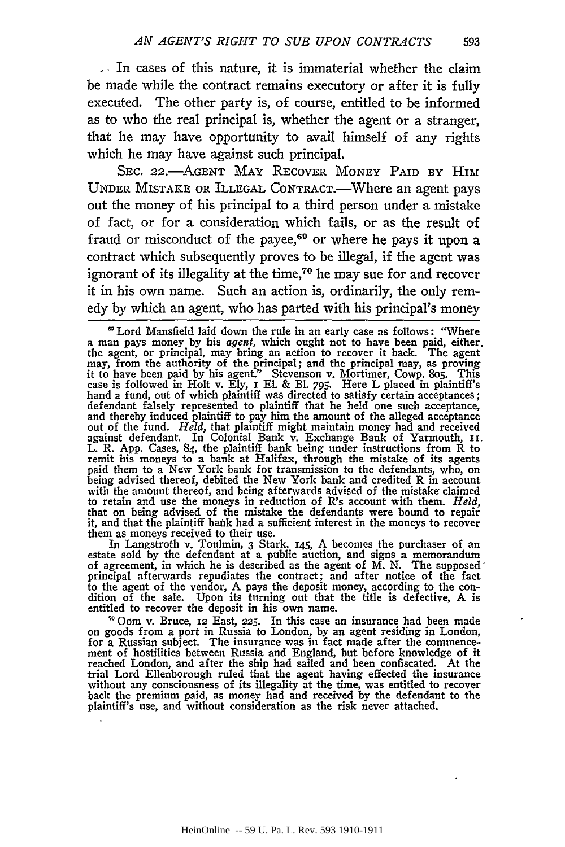**-** In cases of this nature, it is immaterial whether the claim be made while the contract remains executory or after it is fully executed. The other party is, of course, entitled to be informed as to who the real principal is, whether the agent or a stranger, that he may have opportunity to avail himself of any rights which he may have against such principal.

SEC. 22.- AGENT MAY RECOVER MONEY PAID BY HIM UNDER MISTAKE OR ILLEGAL CONTRACT.-Where an agent pays out the money of his principal to a third person under a mistake of fact, or for a consideration which fails, or as the result of fraud or misconduct of the payee,<sup>69</sup> or where he pays it upon a contract which subsequently proves to be illegal, if the agent was ignorant of its illegality at the time,<sup> $70$ </sup> he may sue for and recover it in his own name. Such an action is, ordinarily, the only remedy by which an agent, who has parted with his principal's money

In Langstroth v. Toulmin, 3 Stark. 145, A becomes the purchaser of an estate sold by the defendant at a public auction, and signs a memorandum of agreement, in which he is described as the agent of M. N. The supposed' principal afterwards repudiates the contract; and after notice of the fact to the agent of the vendor, A pays the deposit money, according to the condition of the sale. Upon its turning out that the title is defective, A is entitled to recover the deposit in his own name.

"O0om v. Bruce, 12 East, **225.** In this case an insurance had been made on goods from a port in Russia to London, by an agent residing in London, for a Russian subject. The insurance was in fact made after the commence- ment of hostilities between Russia and England, but before knowledge of it reached London, and after the ship had sailed and been confiscated. At the trial Lord Ellenborough ruled that the agent having effected the insurance without any consciousness of its illegality at the time, was entitled to recover back the premium paid, as money had and received by the defendant to the plaintiff's use, and without consideration as the risk never attached.

593

**<sup>&#</sup>x27;** Lord Mansfield laid down the rule in an early case as follows: "Where a man pays money by his agent, which ought not to have been paid, either. the agent, or principal, may bring an action to recover it back. The agent may, from the authority of the principal; and the principal may, as proving it to have been paid by his agent." Stevenson v. Mortimer, Cowp. 805. This case is followed in Holt v. Ely, I El. & Bl. 795. Here L placed in plaintiff's hand a fund, out of which plaintiff was directed to satisfy certain and thereby induced plaintiff to pay him the amount of the alleged acceptance out of the fund. *Held,* that plaintiff might maintain money had and received against defendant. In Colonial Bank v. Exchange Bank of Yarmouth, **i.** L. R. App. Cases, 84, the plaintiff bank being under instructions from R to remit his moneys to a bank at Halifax, through the mistake of its agents paid them to a New York bank for transmission to the defendants, who, on being advised thereof, debited the New York bank and credited R in account with the amount thereof, and being afterwards advised of the mistake claimed<br>to retain and use the moneys in reduction of R's account with them. *Held*,<br>that on being advised of the mistake the defendants were bound to rep it, and that the plaintiff bank had a sufficient interest in the moneys to recover them as moneys received to their use.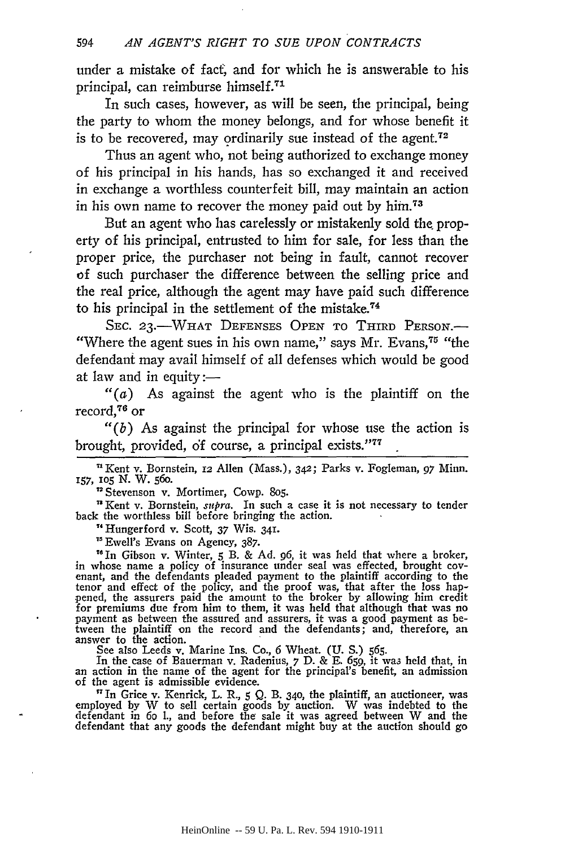under a mistake of fact, and for which he is answerable to his principal, can reimburse himself.<sup>71</sup>

In such cases, however, as will be seen, the principal, being the party to whom the money belongs, and for whose benefit it is to be recovered, may ordinarily sue instead of the agent.<sup>72</sup>

Thus an agent who, not being authorized to exchange money of his principal in his hands, has so exchanged it and received in exchange a worthless counterfeit bill, may maintain an action in his own name to recover the money paid out by **him.73**

But an agent who has carelessly or mistakenly sold the property of his principal, entrusted to him for sale, for less than the proper price, the purchaser not being in fault, cannot recover of such purchaser the difference between the selling price and the real price, although the agent may have paid such difference to his principal in the settlement of the mistake.<sup>74</sup>

SEC. 23.-WHAT DEFENSES OPEN TO THIRD PERSON.-"Where the agent sues in his own name," says Mr. Evans,<sup>75</sup> "the defendant may avail himself of all defenses which would be good at law and in equity: $-$ 

*"(a)* As against the agent who is the plaintiff on the record,76 or

*"(b)* As against the principal for whose use the action is brought, provided, of course, a principal exists."<sup>77</sup>

'Kent v. Bornstein, 12 Allen (Mass.), 342; Parks v. Fogleman, 97 Minn. **157,** lO5 **N.** W. **560.**

**"** Stevenson v. Mortimer, Cowp. 8o5.

"Kent v. Bornstein, *supra.* In such a case it is not necessary to tender back the worthless bill before bringing the action.

"Hungerford v. Scott, **37** Wis. 341.

"Ewell's Evans on Agency, 387.

"In Gibson v. Winter, **5** B. & Ad. **96,** it was held that where a broker, in whose name a policy of insurance under seal was effected, brought covenant, and the defendants pleaded payment to the plaintiff according to the tenor and effect of the policy, and the proof was, that after the loss hap pened, the assurers paid the amount to the broker by allowing him credit for premiums due from him to them, it was held that although that was no payment as between the assured and assurers, it was a good payment as between the plaintiff on the record and the defendants; and, therefore, an answer to the action.

See also Leeds v. Marine Ins. Co., 6 Wheat. (U. S.) 565.<br>In the case of Bauerman v. Radenius, 7 D. & E. 659, it was held that, in<br>an action in the name of the agent for the principal's benefit, an admission<br>of the agent is

<sup>1</sup> In Grice v. Kenrick, L. R., 5 Q. B. 340, the plaintiff, an auctioneer, was employed by W to sell certain goods by auction. W was indebted to the defendant in 6o l., and before the sale it was agreed between W and the defendant that any goods the defendant might buy at the auction should go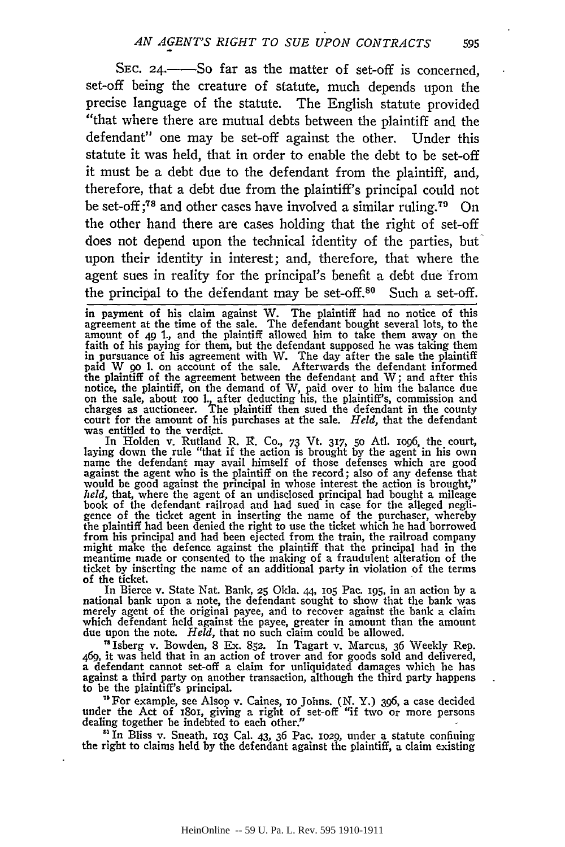SEC. 24.—So far as the matter of set-off is concerned, set-off being the creature of statute, much depends upon the precise language of the statute. The English statute provided "that where there are mutual debts between the plaintiff and the defendant" one may be set-off against the other. Under this statute it was held, that in order to enable the debt to be set-off it must be a debt due to the defendant from the plaintiff, and, therefore, that a debt due from the plaintiff's principal could not be set-off **;78** and other cases have involved a similar ruling.79 On the other hand there are cases holding that the right of set-off does not depend upon the technical identity of the parties, but upon their identity in interest; and, therefore, that where the agent sues in reality for the principal's benefit a debt due from the principal to the defendant may be set-off.<sup>80</sup> Such a set-off,

in payment of his claim against W. The plaintiff had no notice of this agreement at the time of the sale. The defendant bought several lots, to the amount of 49 1., and the plaintiff allowed him to take them away on the faith of his paying for them, but the defendant supposed he was taking them in pursuance of his agreement with W. The day after the sale the plaintiff paid W 90 l. on account of the sale. Afterwards the defendant informed<br>the plaintiff of the agreement between the defendant and W; and after this<br>notice, the plaintiff on the demand of  $W_1$  and agent to him the belance d on the sale, about ioo **1.,** after deducting his, the plaintiff's, commission and charges as auctioneer. The plaintiff then sued the defendant in **the** county court for **the** amount of his purchases at the sale. *Held,* that the defendant was entitled to the verdict.

In Holden v. Rutland R. R. Co., 73 Vt. 317, 50 Atl. 1096, the court, laying down the rule "that if the action is brought by the agent in his own<br>name the defendant may avail himself of those defenses which are good<br>against the agent who is the plaintiff on the record; also of any defense th would be good against the principal in whose interest the action is brought," held, that, where the agent of an undisclosed principal had bought a mileage book of the defendant railroad and had sued in case for the alleged negligence of the ticket agent in inserting the name of the purchaser, whereb the plaintiff had been denied the right to use the ticket which he had borrowed from his principal and had been ejected from the train, the railroad company might make the defence against the plaintiff that the principal had in the meantime made or consented to the making of a fraudulent alteration of the ticket **by** inserting the name of an additional party in violation **of** the terms of the ticket.

In Bierce v. State Nat. Bank, **25** Okla. 44, 1o5 Pac. **195,** in an action **by** a national bank upon a note, the defendant sought to show that the bank was merely agent of the original payee, and to recover against the bank a claim which defendant held against the payee, greater in amount than the amount due upon the note. *Held,* that no such claim could be allowed.

**"** Isberg v. Bowden, 8 Ex. 852. In Tagart v. Marcus, 36 Weekly Rep. 469, it was held that in an action of trover and for goods sold and delivered, a defendant cannot set-off a claim for unliquidated damages which he has against a third party on another transaction, although the third party happens to be the plaintiff's principal.

"For example, see Alsop v. Gaines, **i0** Johns. **(N.** Y.) **396,** a case decided under the Act of 1801, giving a right of set-off "if two or more persons dealing together be indebted to each other."

<sup>50</sup> In Bliss v. Sneath, 103 Cal. 43, 36 Pac. 1029, under a statute confining the right to claims held by the defendant against the plaintiff, a claim existing